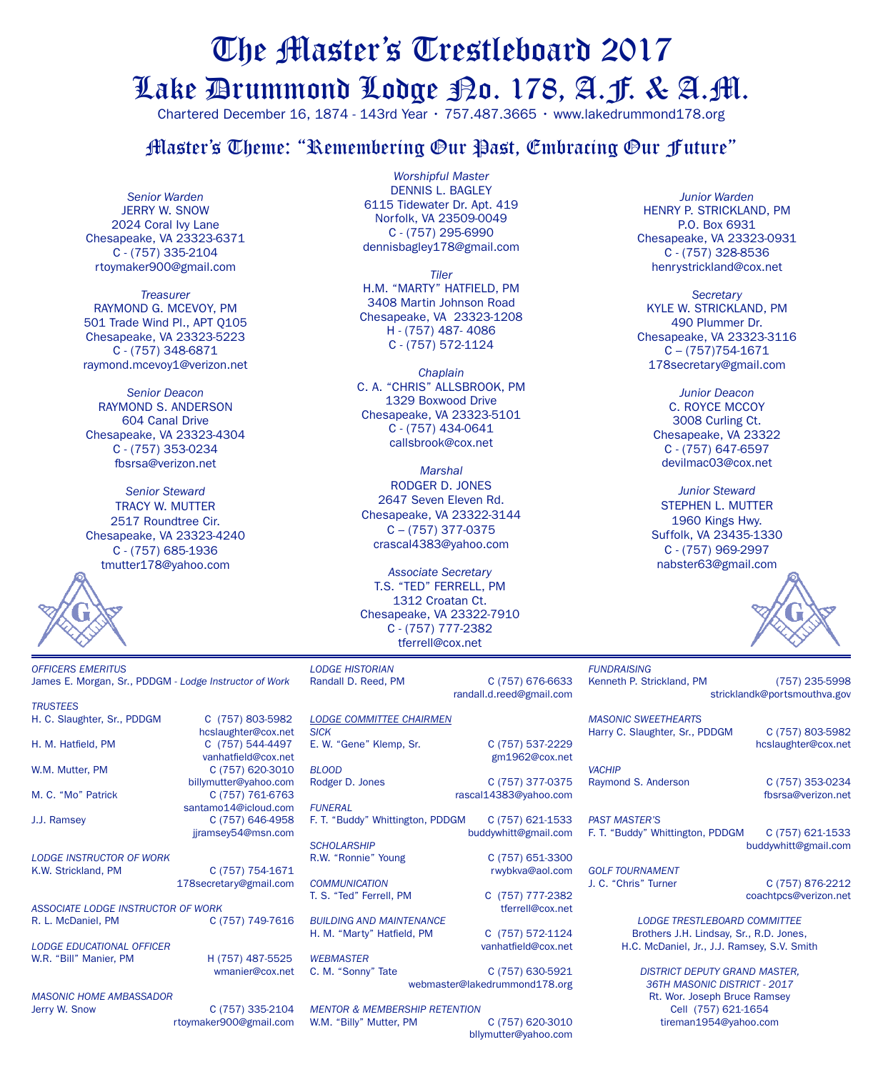# The Master's Trestleboard 2017 Lake Drummond Lodge No. 178, A.F. & A.M.

Chartered December 16, 1874 - 143rd Year • 757.487.3665 • www.lakedrummond178.org

#### Master's Theme: "Remembering Our Past, Embracing Our Future"

*Senior Warden* **JERRY W. SNOW** 2024 Coral Ivy Lane Chesapeake, VA 23323-6371 C - (757) 335-2104 rtoymaker900@gmail.com

*Treasurer* Raymond G. McEvoy, PM 501 Trade Wind Pl., APT Q105 Chesapeake, VA 23323-5223 C - (757) 348-6871 raymond.mcevoy1@verizon.net

*Senior Deacon* RAYMOND S. ANDERSON 604 Canal Drive Chesapeake, VA 23323-4304 C - (757) 353-0234 fbsrsa@verizon.net

*Senior Steward* TRACY W. MUTTER 2517 Roundtree Cir. Chesapeake, VA 23323-4240 C - (757) 685-1936 tmutter178@yahoo.com



*trustees*

*Worshipful Master* DENNIS L. BAGLEY 6115 Tidewater Dr. Apt. 419 Norfolk, VA 23509-0049 C - (757) 295-6990 dennisbagley178@gmail.com

*Tiler* h.m. "Marty" hatfield, PM 3408 Martin Johnson Road Chesapeake, VA 23323-1208 H - (757) 487- 4086 C - (757) 572-1124

*Chaplain* C. A. "Chris" Allsbrook, PM 1329 Boxwood Drive Chesapeake, VA 23323-5101 C - (757) 434-0641 callsbrook@cox.net

*Marshal* Rodger D. Jones 2647 Seven Eleven Rd. Chesapeake, VA 23322-3144 C – (757) 377-0375 crascal4383@yahoo.com

*Associate Secretary* T.S. "TED" FERRELL, PM 1312 Croatan Ct. Chesapeake, VA 23322-7910 C - (757) 777-2382 tferrell@cox.net

*Junior Warden* HENRY P. STRICKLAND, PM P.O. Box 6931 Chesapeake, VA 23323-0931 C - (757) 328-8536 henrystrickland@cox.net

*Secretary* KYLE W. STRICKLAND, PM 490 Plummer Dr. Chesapeake, VA 23323-3116  $C - (757)754 - 1671$ 178secretary@gmail.com

> *Junior Deacon* C. ROYCE McCOY 3008 Curling Ct. Chesapeake, VA 23322 C - (757) 647-6597 devilmac03@cox.net

*Junior Steward* STEPHEN L. MUTTER 1960 Kings Hwy. Suffolk, VA 23435-1330 C - (757) 969-2997 nabster63@gmail.com



*OFFICERS EMERITUS* James E. Morgan, Sr., PDDGM - *Lodge Instructor of Work*

H. C. Slaughter, Sr., PDDGM C (757) 803-5982 hcslaughter@cox.net H. M. Hatfield, PM C (757) 544-4497 vanhatfield@cox.net W.M. Mutter, PM C (757) 620-3010 billymutter@yahoo.com M. C. "Mo" Patrick C (757) 761-6763 santamo14@icloud.com J.J. Ramsey C (757) 646-4958 jjramsey54@msn.com

*LODGE INSTRUCTOR OF WORK* K.W. Strickland, PM C (757) 754-1671 178secretary@gmail.com

*ASSOCIATE LODGE INSTRUCTOR OF WORK* C (757) 749-7616 *lodge educational officer*

W.R. "Bill" Manier, PM H (757) 487-5525

*Masonic home ambassador*

C (757) 335-2104 rtoymaker900@gmail.com

wmanier@cox.net

*Lodge Historian*

*SCHOLARSHIP*

*COMMUNICATION*

*WEBMASTER*

*BUILDING AND MAINTENANCE*

**LODGE COMMITTEE CHAIRMEI** 

Randall D. Reed, PM C (757) 676-6633 randall.d.reed@gmail.com

| <b>LODGE COMMITTEE CHAIRMEN</b>  |                       | MA:        |
|----------------------------------|-----------------------|------------|
| <b>SICK</b>                      |                       | Har        |
| E. W. "Gene" Klemp, Sr.          | C (757) 537-2229      |            |
|                                  | gm1962@cox.net        |            |
| <b>BLOOD</b>                     |                       | <b>VAC</b> |
| Rodger D. Jones                  | C (757) 377-0375      | Rav        |
|                                  | rascal14383@vahoo.com |            |
| <b>FUNERAL</b>                   |                       |            |
| F. T. "Buddy" Whittington, PDDGM | C (757) 621-1533      | PAS        |
|                                  | buddywhitt@gmail.com  | F. T       |

R.W. "Ronnie" Young C (757) 651-3300 rwybkva@aol.com T. S. "Ted" Ferrell, PM C (757) 777-2382 tferrell@cox.net

H. M. "Marty" Hatfield, PM C (757) 572-1124

vanhatfield@cox.net

C. M. "Sonny" Tate C (757) 630-5921 webmaster@lakedrummond178.org

*MENTOR & MEMBERSHIP RETENTION* W.M. "Billy" Mutter, PM C (757) 620-3010 bllymutter@yahoo.com *FUNDRAISING* Kenneth P. Strickland, PM (757) 235-5998 stricklandk@portsmouthva.gov

*MASONIC SWEETHEARTS* ry C. Slaughter, Sr., PDDGM C (757) 803-5982 hcslaughter@cox.net

*VACHIP* mond S. Anderson C (757) 353-0234

fbsrsa@verizon.net

*PAST MASTER'S* "Buddy" Whittington, PDDGM C (757) 621-1533 buddywhitt@gmail.com

*GOLF TOURNAMENT* 

J. C. "Chris" Turner C (757) 876-2212 coachtpcs@verizon.net

> *LODGE TRESTLEBOARD COMMITTEE* Brothers J.H. Lindsay, Sr., R.D. Jones, H.C. McDaniel, Jr., J.J. Ramsey, S.V. Smith

> > *District deputy grand master, 36th masonic district - 2017* Rt. Wor. Joseph Bruce Ramsey Cell (757) 621-1654 tireman1954@yahoo.com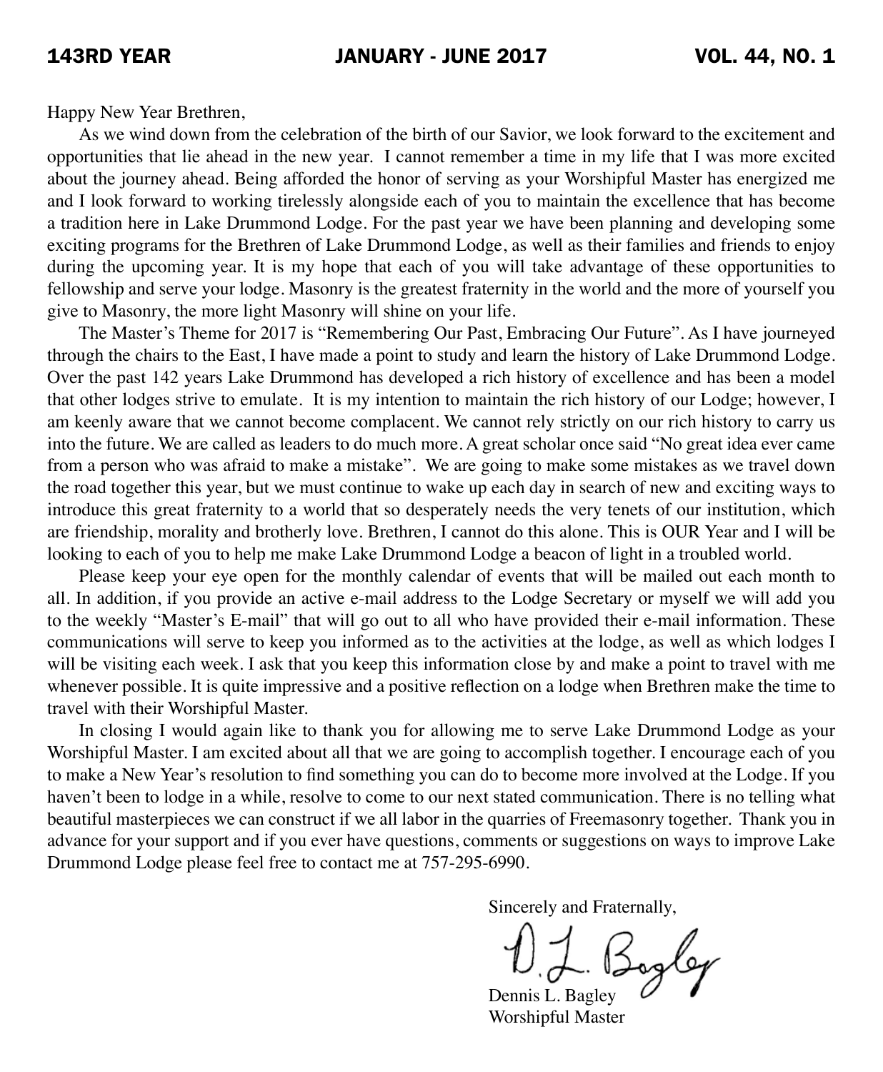Happy New Year Brethren,

As we wind down from the celebration of the birth of our Savior, we look forward to the excitement and opportunities that lie ahead in the new year. I cannot remember a time in my life that I was more excited about the journey ahead. Being afforded the honor of serving as your Worshipful Master has energized me and I look forward to working tirelessly alongside each of you to maintain the excellence that has become a tradition here in Lake Drummond Lodge. For the past year we have been planning and developing some exciting programs for the Brethren of Lake Drummond Lodge, as well as their families and friends to enjoy during the upcoming year. It is my hope that each of you will take advantage of these opportunities to fellowship and serve your lodge. Masonry is the greatest fraternity in the world and the more of yourself you give to Masonry, the more light Masonry will shine on your life.

The Master's Theme for 2017 is "Remembering Our Past, Embracing Our Future". As I have journeyed through the chairs to the East, I have made a point to study and learn the history of Lake Drummond Lodge. Over the past 142 years Lake Drummond has developed a rich history of excellence and has been a model that other lodges strive to emulate. It is my intention to maintain the rich history of our Lodge; however, I am keenly aware that we cannot become complacent. We cannot rely strictly on our rich history to carry us into the future. We are called as leaders to do much more. A great scholar once said "No great idea ever came from a person who was afraid to make a mistake". We are going to make some mistakes as we travel down the road together this year, but we must continue to wake up each day in search of new and exciting ways to introduce this great fraternity to a world that so desperately needs the very tenets of our institution, which are friendship, morality and brotherly love. Brethren, I cannot do this alone. This is OUR Year and I will be looking to each of you to help me make Lake Drummond Lodge a beacon of light in a troubled world.

Please keep your eye open for the monthly calendar of events that will be mailed out each month to all. In addition, if you provide an active e-mail address to the Lodge Secretary or myself we will add you to the weekly "Master's E-mail" that will go out to all who have provided their e-mail information. These communications will serve to keep you informed as to the activities at the lodge, as well as which lodges I will be visiting each week. I ask that you keep this information close by and make a point to travel with me whenever possible. It is quite impressive and a positive reflection on a lodge when Brethren make the time to travel with their Worshipful Master.

In closing I would again like to thank you for allowing me to serve Lake Drummond Lodge as your Worshipful Master. I am excited about all that we are going to accomplish together. I encourage each of you to make a New Year's resolution to find something you can do to become more involved at the Lodge. If you haven't been to lodge in a while, resolve to come to our next stated communication. There is no telling what beautiful masterpieces we can construct if we all labor in the quarries of Freemasonry together. Thank you in advance for your support and if you ever have questions, comments or suggestions on ways to improve Lake Drummond Lodge please feel free to contact me at 757-295-6990.

Sincerely and Fraternally,

 Dennis L. Bagley Worshipful Master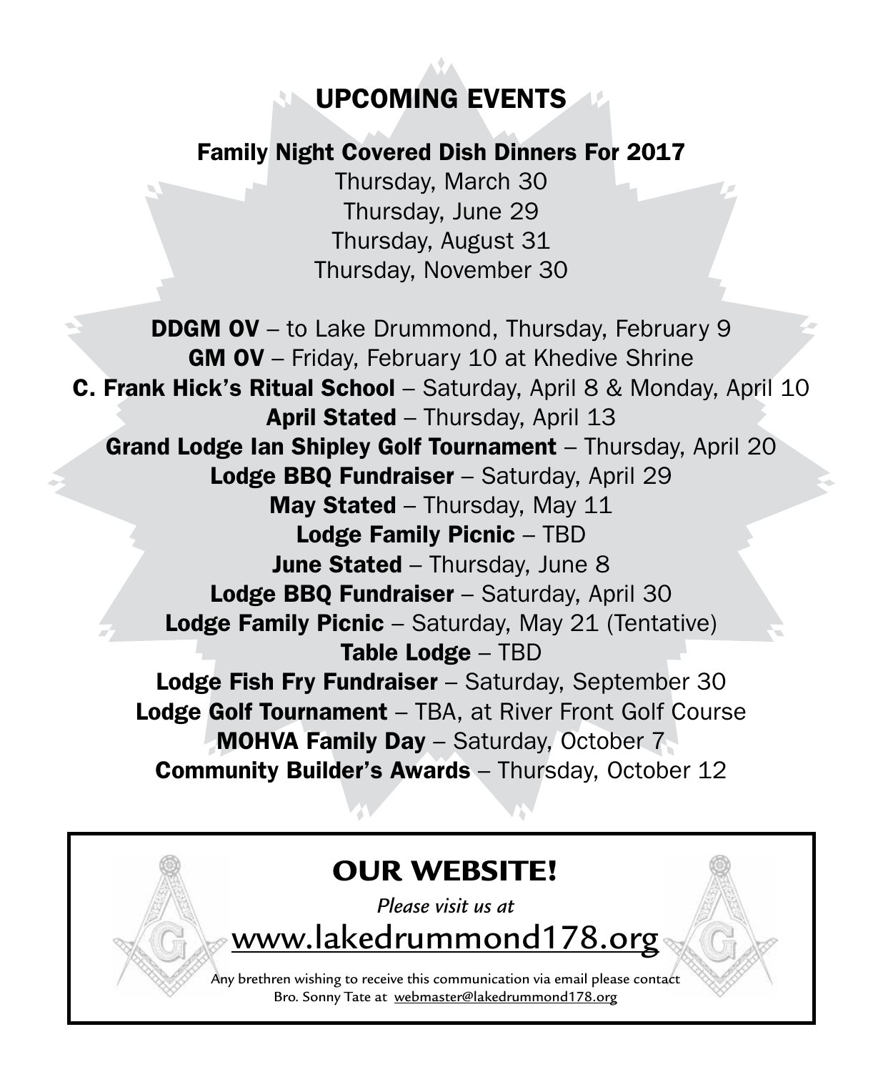## UPCOMING EVENTS

## Family Night Covered Dish Dinners For 2017

Thursday, March 30 Thursday, June 29 Thursday, August 31 Thursday, November 30

**DDGM OV** – to Lake Drummond, Thursday, February 9 GM OV – Friday, February 10 at Khedive Shrine **C. Frank Hick's Ritual School** – Saturday, April 8 & Monday, April 10 April Stated - Thursday, April 13 Grand Lodge Ian Shipley Golf Tournament - Thursday, April 20 Lodge BBQ Fundraiser - Saturday, April 29 May Stated – Thursday, May 11 Lodge Family Picnic – TBD June Stated - Thursday, June 8 Lodge BBQ Fundraiser - Saturday, April 30 **Lodge Family Picnic** – Saturday, May 21 (Tentative) Table Lodge – TBD Lodge Fish Fry Fundraiser - Saturday, September 30 Lodge Golf Tournament – TBA, at River Front Golf Course MOHVA Family Day – Saturday, October 7 Community Builder's Awards – Thursday, October 12

# OUR WEBSITE! *Please visit us at*  www.lakedrummond178.org Any brethren wishing to receive this communication via email please contact Bro. Sonny Tate at webmaster@lakedrummond178.org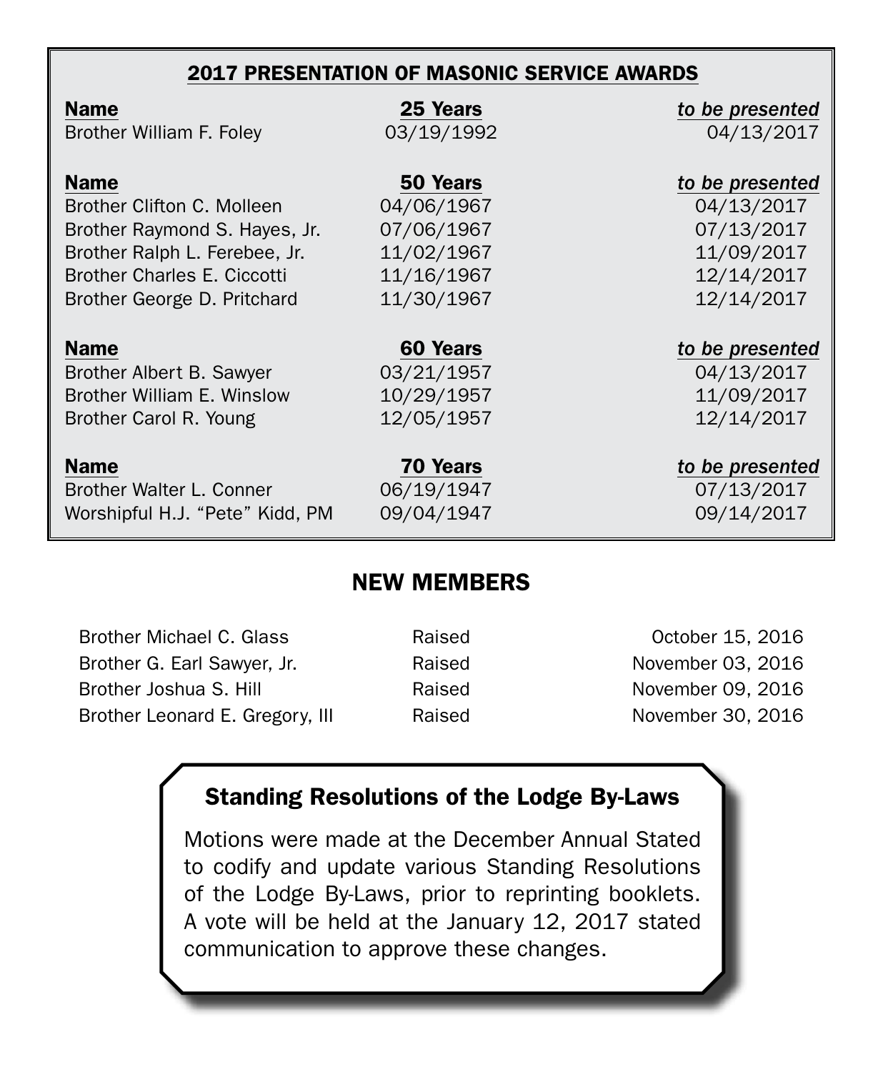#### 2017 PRESENTATION OF MASONIC SERVICE AWARDS

| <b>Name</b>                        | 25 Years        | to be presented |
|------------------------------------|-----------------|-----------------|
| Brother William F. Foley           | 03/19/1992      | 04/13/2017      |
| <b>Name</b>                        | 50 Years        | to be presented |
| Brother Clifton C. Molleen         | 04/06/1967      | 04/13/2017      |
| Brother Raymond S. Hayes, Jr.      | 07/06/1967      | 07/13/2017      |
| Brother Ralph L. Ferebee, Jr.      | 11/02/1967      | 11/09/2017      |
| <b>Brother Charles E. Ciccotti</b> | 11/16/1967      | 12/14/2017      |
| Brother George D. Pritchard        | 11/30/1967      | 12/14/2017      |
| <b>Name</b>                        | 60 Years        | to be presented |
| Brother Albert B. Sawyer           | 03/21/1957      | 04/13/2017      |
| Brother William E. Winslow         | 10/29/1957      | 11/09/2017      |
| Brother Carol R. Young             | 12/05/1957      | 12/14/2017      |
| <b>Name</b>                        | <b>70 Years</b> | to be presented |
| Brother Walter L. Conner           | 06/19/1947      | 07/13/2017      |
| Worshipful H.J. "Pete" Kidd, PM    | 09/04/1947      | 09/14/2017      |

#### NEW MEMBERS

| Raised | October 15, 2016  |
|--------|-------------------|
| Raised | November 03, 2016 |
| Raised | November 09, 2016 |
| Raised | November 30, 2016 |
|        |                   |

## Standing Resolutions of the Lodge By-Laws

Motions were made at the December Annual Stated to codify and update various Standing Resolutions of the Lodge By-Laws, prior to reprinting booklets. A vote will be held at the January 12, 2017 stated communication to approve these changes.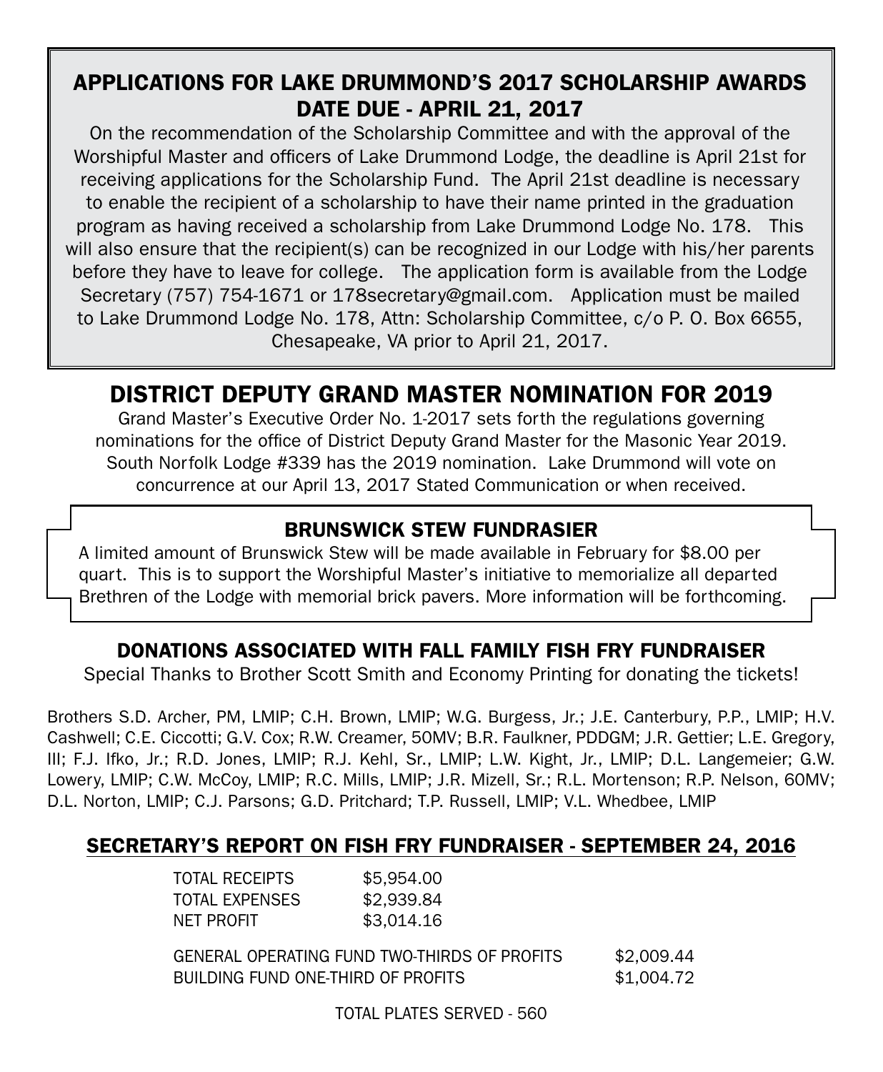#### APPLICATIONS FOR LAKE DRUMMOND'S 2017 SCHOLARSHIP AWARDS DATE DUE - APRIL 21, 2017

On the recommendation of the Scholarship Committee and with the approval of the Worshipful Master and officers of Lake Drummond Lodge, the deadline is April 21st for receiving applications for the Scholarship Fund. The April 21st deadline is necessary to enable the recipient of a scholarship to have their name printed in the graduation program as having received a scholarship from Lake Drummond Lodge No. 178. This will also ensure that the recipient(s) can be recognized in our Lodge with his/her parents before they have to leave for college. The application form is available from the Lodge Secretary (757) 754-1671 or 178secretary@gmail.com. Application must be mailed to Lake Drummond Lodge No. 178, Attn: Scholarship Committee, c/o P. O. Box 6655, Chesapeake, VA prior to April 21, 2017.

## DISTRICT DEPUTY GRAND MASTER NOMINATION FOR 2019

Grand Master's Executive Order No. 1-2017 sets forth the regulations governing nominations for the office of District Deputy Grand Master for the Masonic Year 2019. South Norfolk Lodge #339 has the 2019 nomination. Lake Drummond will vote on concurrence at our April 13, 2017 Stated Communication or when received.

#### BRUNSWICK STEW FUNDRASIER

A limited amount of Brunswick Stew will be made available in February for \$8.00 per quart. This is to support the Worshipful Master's initiative to memorialize all departed Brethren of the Lodge with memorial brick pavers. More information will be forthcoming.

#### DONATIONS ASSOCIATED WITH FALL FAMILY FISH FRY FUNDRAISER

Special Thanks to Brother Scott Smith and Economy Printing for donating the tickets!

Brothers S.D. Archer, PM, LMIP; C.H. Brown, LMIP; W.G. Burgess, Jr.; J.E. Canterbury, P.P., LMIP; H.V. Cashwell; C.E. Ciccotti; G.V. Cox; R.W. Creamer, 50MV; B.R. Faulkner, PDDGM; J.R. Gettier; L.E. Gregory, III; F.J. Ifko, Jr.; R.D. Jones, LMIP; R.J. Kehl, Sr., LMIP; L.W. Kight, Jr., LMIP; D.L. Langemeier; G.W. Lowery, LMIP; C.W. McCoy, LMIP; R.C. Mills, LMIP; J.R. Mizell, Sr.; R.L. Mortenson; R.P. Nelson, 60MV; D.L. Norton, LMIP; C.J. Parsons; G.D. Pritchard; T.P. Russell, LMIP; V.L. Whedbee, LMIP

#### SECRETARY'S REPORT ON FISH FRY FUNDRAISER - SEPTEMBER 24, 2016

| TOTAL RECEIPTS | \$5,954,00 |
|----------------|------------|
| TOTAL EXPENSES | \$2.939.84 |
| NFT PROFIT     | \$3.014.16 |
|                |            |

 GENERAL OPERATING FUND TWO-THIRDS OF PROFITS \$2,009.44 BUILDING FUND ONE-THIRD OF PROFITS \$1,004.72

TOTAL PLATES SERVED - 560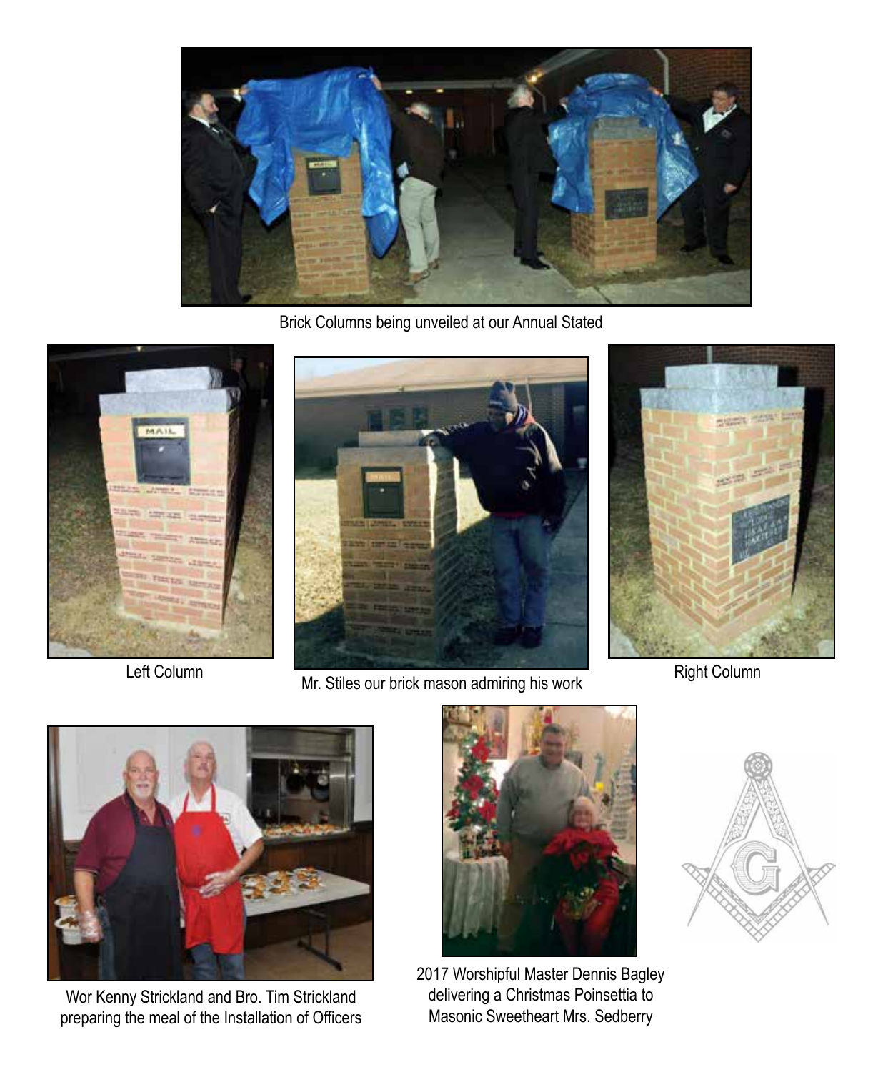

Brick Columns being unveiled at our Annual Stated



Left Column



Mr. Stiles our brick mason admiring his work



Right Column



Wor Kenny Strickland and Bro. Tim Strickland preparing the meal of the Installation of Officers



2017 Worshipful Master Dennis Bagley delivering a Christmas Poinsettia to Masonic Sweetheart Mrs. Sedberry

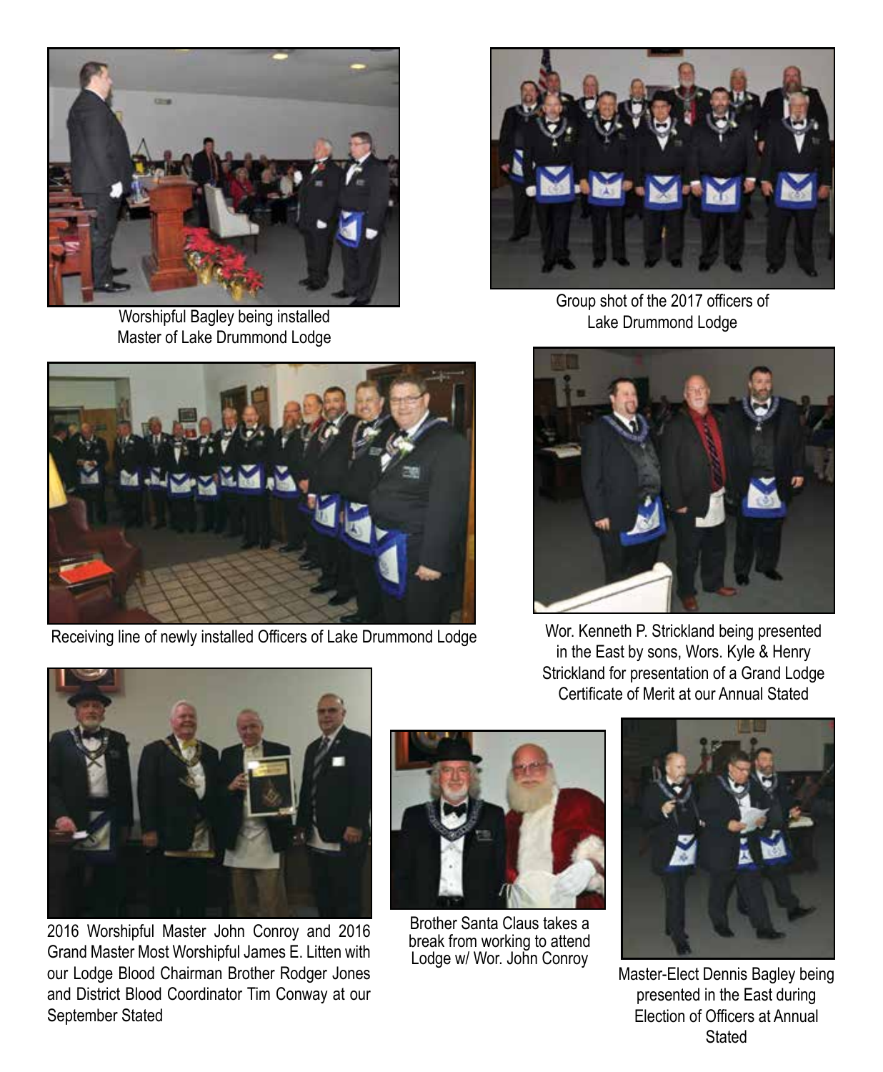

Worshipful Bagley being installed Master of Lake Drummond Lodge



Group shot of the 2017 officers of Lake Drummond Lodge



Receiving line of newly installed Officers of Lake Drummond Lodge



Wor. Kenneth P. Strickland being presented in the East by sons, Wors. Kyle & Henry Strickland for presentation of a Grand Lodge Certificate of Merit at our Annual Stated



2016 Worshipful Master John Conroy and 2016 Grand Master Most Worshipful James E. Litten with our Lodge Blood Chairman Brother Rodger Jones and District Blood Coordinator Tim Conway at our September Stated



Brother Santa Claus takes a break from working to attend Lodge w/ Wor. John Conroy



Master-Elect Dennis Bagley being presented in the East during Election of Officers at Annual Stated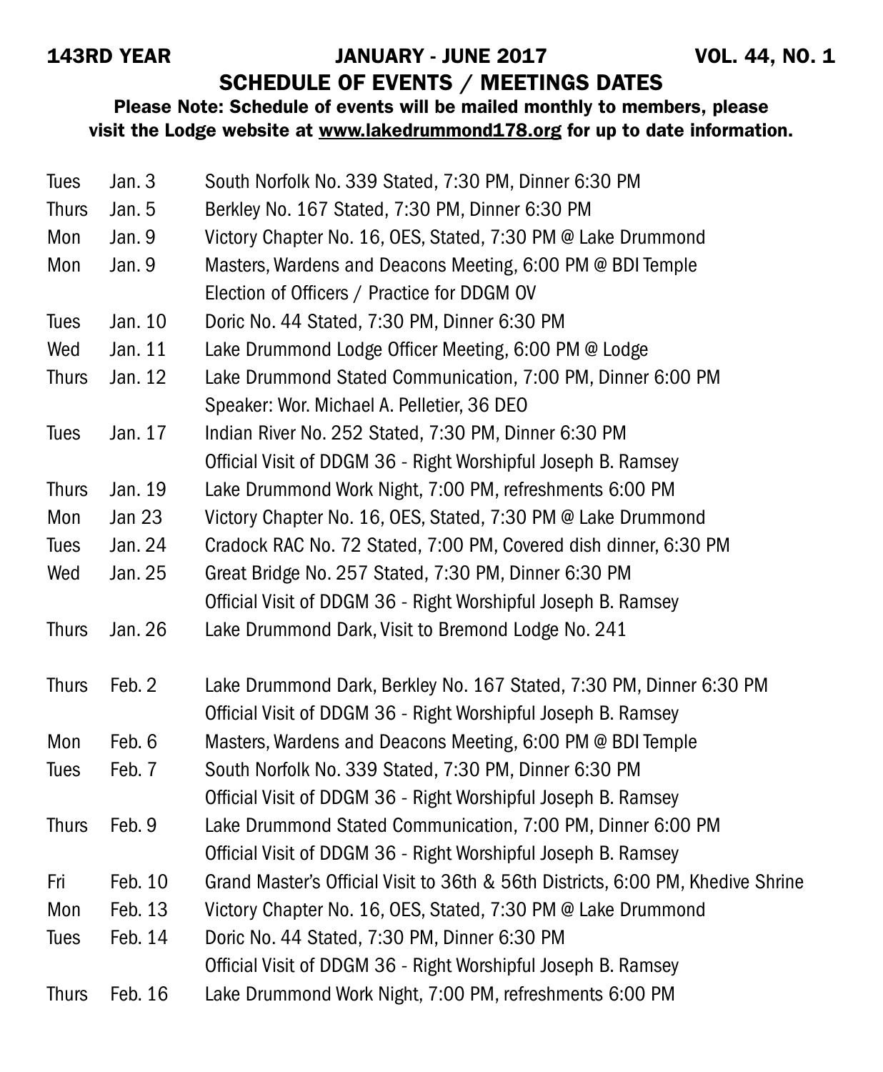#### 143RD YEAR JANUARY - JUNE 2017 VOL. 44, NO. 1

SCHEDULE OF EVENTS / MEETINGS DATES

#### Please Note: Schedule of events will be mailed monthly to members, please visit the Lodge website at www.lakedrummond178.org for up to date information.

| <b>Tues</b>  | Jan. 3        | South Norfolk No. 339 Stated, 7:30 PM, Dinner 6:30 PM                           |
|--------------|---------------|---------------------------------------------------------------------------------|
| <b>Thurs</b> | Jan. 5        | Berkley No. 167 Stated, 7:30 PM, Dinner 6:30 PM                                 |
| Mon          | Jan. 9        | Victory Chapter No. 16, OES, Stated, 7:30 PM @ Lake Drummond                    |
| Mon          | Jan. 9        | Masters, Wardens and Deacons Meeting, 6:00 PM @ BDI Temple                      |
|              |               | Election of Officers / Practice for DDGM OV                                     |
| <b>Tues</b>  | Jan. 10       | Doric No. 44 Stated, 7:30 PM, Dinner 6:30 PM                                    |
| Wed          | Jan. 11       | Lake Drummond Lodge Officer Meeting, 6:00 PM @ Lodge                            |
| <b>Thurs</b> | Jan. 12       | Lake Drummond Stated Communication, 7:00 PM, Dinner 6:00 PM                     |
|              |               | Speaker: Wor. Michael A. Pelletier, 36 DEO                                      |
| <b>Tues</b>  | Jan. 17       | Indian River No. 252 Stated, 7:30 PM, Dinner 6:30 PM                            |
|              |               | Official Visit of DDGM 36 - Right Worshipful Joseph B. Ramsey                   |
| <b>Thurs</b> | Jan. 19       | Lake Drummond Work Night, 7:00 PM, refreshments 6:00 PM                         |
| Mon          | <b>Jan 23</b> | Victory Chapter No. 16, OES, Stated, 7:30 PM @ Lake Drummond                    |
| <b>Tues</b>  | Jan. 24       | Cradock RAC No. 72 Stated, 7:00 PM, Covered dish dinner, 6:30 PM                |
| Wed          | Jan. 25       | Great Bridge No. 257 Stated, 7:30 PM, Dinner 6:30 PM                            |
|              |               | Official Visit of DDGM 36 - Right Worshipful Joseph B. Ramsey                   |
| <b>Thurs</b> | Jan. 26       | Lake Drummond Dark, Visit to Bremond Lodge No. 241                              |
| <b>Thurs</b> | Feb. 2        | Lake Drummond Dark, Berkley No. 167 Stated, 7:30 PM, Dinner 6:30 PM             |
|              |               | Official Visit of DDGM 36 - Right Worshipful Joseph B. Ramsey                   |
| Mon          | Feb. 6        | Masters, Wardens and Deacons Meeting, 6:00 PM @ BDI Temple                      |
| <b>Tues</b>  | Feb. 7        | South Norfolk No. 339 Stated, 7:30 PM, Dinner 6:30 PM                           |
|              |               | Official Visit of DDGM 36 - Right Worshipful Joseph B. Ramsey                   |
| <b>Thurs</b> | Feb. 9        | Lake Drummond Stated Communication, 7:00 PM, Dinner 6:00 PM                     |
|              |               | Official Visit of DDGM 36 - Right Worshipful Joseph B. Ramsey                   |
| Fri          | Feb. 10       | Grand Master's Official Visit to 36th & 56th Districts, 6:00 PM, Khedive Shrine |
| Mon          | Feb. 13       | Victory Chapter No. 16, OES, Stated, 7:30 PM @ Lake Drummond                    |
| <b>Tues</b>  | Feb. 14       | Doric No. 44 Stated, 7:30 PM, Dinner 6:30 PM                                    |
|              |               | Official Visit of DDGM 36 - Right Worshipful Joseph B. Ramsey                   |
| <b>Thurs</b> | Feb. 16       | Lake Drummond Work Night, 7:00 PM, refreshments 6:00 PM                         |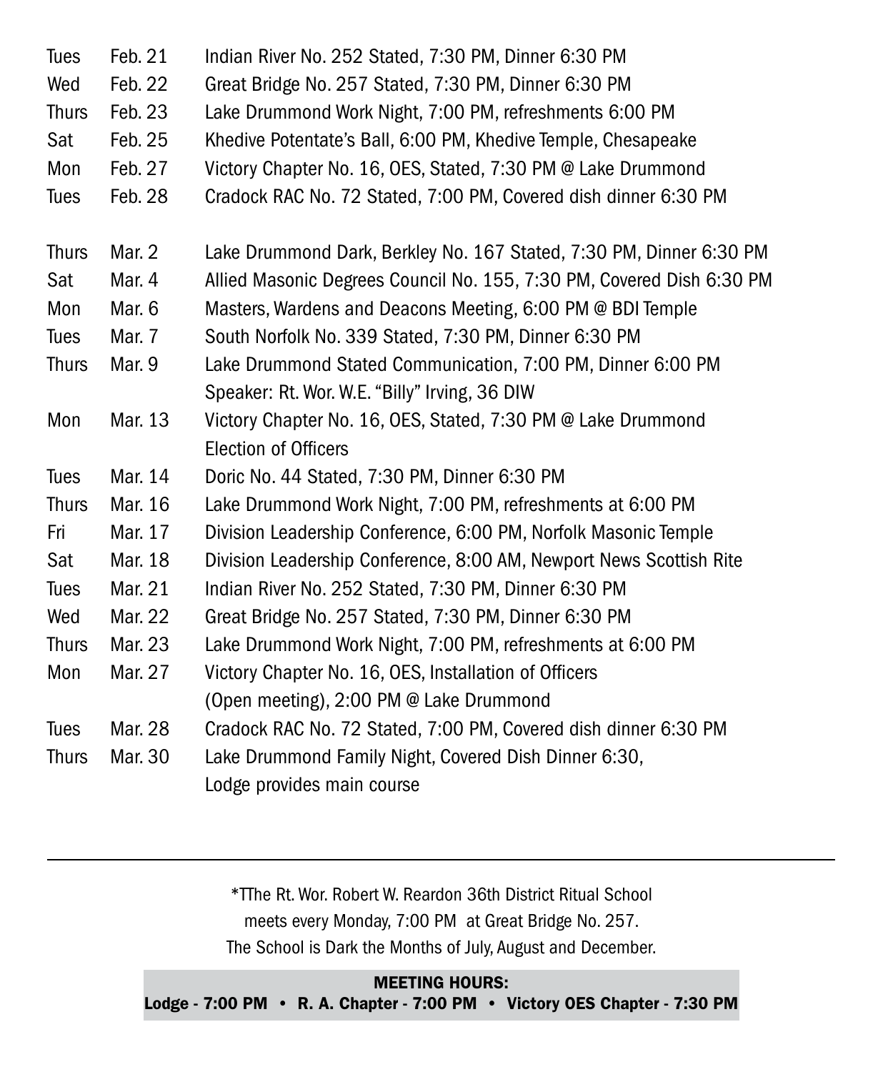| <b>Tues</b>  | Feb. 21 | Indian River No. 252 Stated, 7:30 PM, Dinner 6:30 PM                  |
|--------------|---------|-----------------------------------------------------------------------|
| Wed          | Feb. 22 | Great Bridge No. 257 Stated, 7:30 PM, Dinner 6:30 PM                  |
| <b>Thurs</b> | Feb. 23 | Lake Drummond Work Night, 7:00 PM, refreshments 6:00 PM               |
| Sat          | Feb. 25 | Khedive Potentate's Ball, 6:00 PM, Khedive Temple, Chesapeake         |
| Mon          | Feb. 27 | Victory Chapter No. 16, OES, Stated, 7:30 PM @ Lake Drummond          |
| <b>Tues</b>  | Feb. 28 | Cradock RAC No. 72 Stated, 7:00 PM, Covered dish dinner 6:30 PM       |
| <b>Thurs</b> | Mar. 2  | Lake Drummond Dark, Berkley No. 167 Stated, 7:30 PM, Dinner 6:30 PM   |
| Sat          | Mar. 4  | Allied Masonic Degrees Council No. 155, 7:30 PM, Covered Dish 6:30 PM |
| Mon          | Mar. 6  | Masters, Wardens and Deacons Meeting, 6:00 PM @ BDI Temple            |
| Tues         | Mar. 7  | South Norfolk No. 339 Stated, 7:30 PM, Dinner 6:30 PM                 |
| <b>Thurs</b> | Mar. 9  | Lake Drummond Stated Communication, 7:00 PM, Dinner 6:00 PM           |
|              |         | Speaker: Rt. Wor. W.E. "Billy" Irving, 36 DIW                         |
| Mon          | Mar. 13 | Victory Chapter No. 16, OES, Stated, 7:30 PM @ Lake Drummond          |
|              |         | <b>Election of Officers</b>                                           |
| <b>Tues</b>  | Mar. 14 | Doric No. 44 Stated, 7:30 PM, Dinner 6:30 PM                          |
| <b>Thurs</b> | Mar. 16 | Lake Drummond Work Night, 7:00 PM, refreshments at 6:00 PM            |
| Fri          | Mar. 17 | Division Leadership Conference, 6:00 PM, Norfolk Masonic Temple       |
| Sat          | Mar. 18 | Division Leadership Conference, 8:00 AM, Newport News Scottish Rite   |
| <b>Tues</b>  | Mar. 21 | Indian River No. 252 Stated, 7:30 PM, Dinner 6:30 PM                  |
| Wed          | Mar. 22 | Great Bridge No. 257 Stated, 7:30 PM, Dinner 6:30 PM                  |
| <b>Thurs</b> | Mar. 23 | Lake Drummond Work Night, 7:00 PM, refreshments at 6:00 PM            |
| Mon          | Mar. 27 | Victory Chapter No. 16, OES, Installation of Officers                 |
|              |         | (Open meeting), 2:00 PM @ Lake Drummond                               |
| <b>Tues</b>  | Mar. 28 | Cradock RAC No. 72 Stated, 7:00 PM, Covered dish dinner 6:30 PM       |
| <b>Thurs</b> | Mar. 30 | Lake Drummond Family Night, Covered Dish Dinner 6:30,                 |
|              |         | Lodge provides main course                                            |

\*TThe Rt. Wor. Robert W. Reardon 36th District Ritual School meets every Monday, 7:00 PM at Great Bridge No. 257. The School is Dark the Months of July, August and December.

MEETING HOURS: Lodge - 7:00 PM • R. A. Chapter - 7:00 PM • Victory OES Chapter - 7:30 PM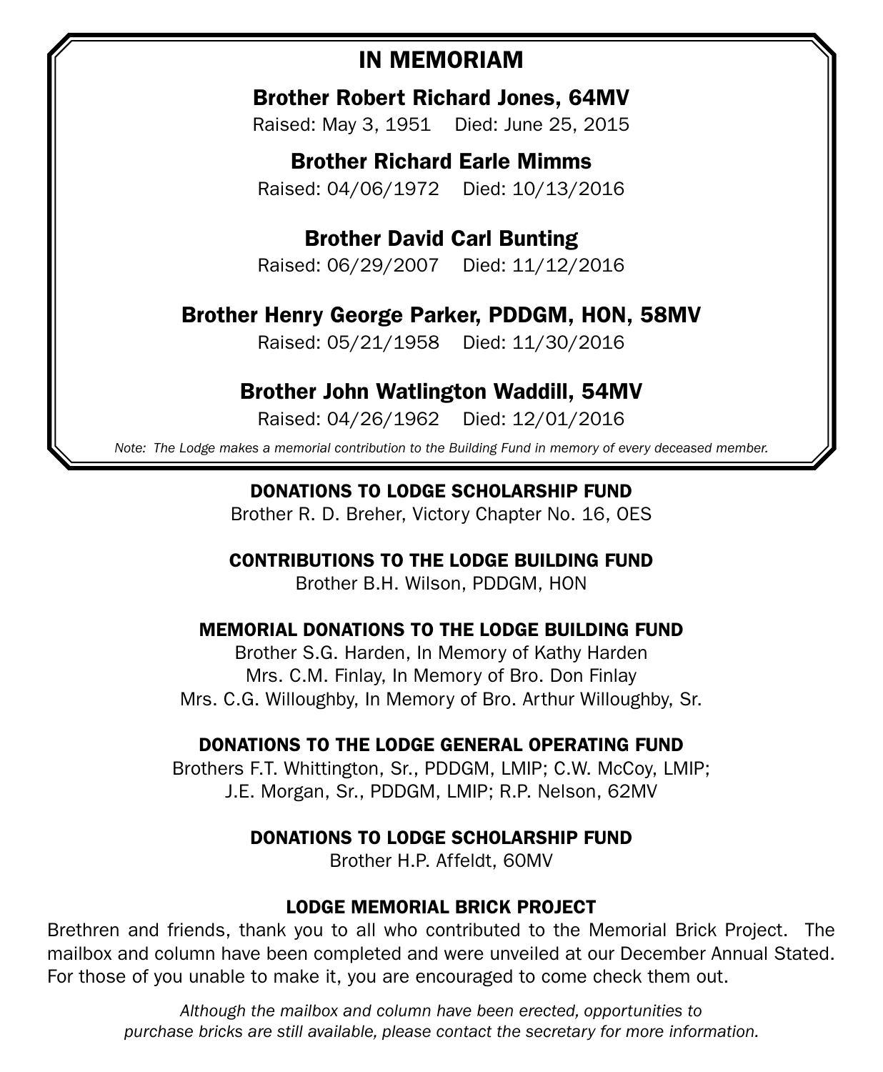### IN MEMORIAM

Brother Robert Richard Jones, 64MV

Raised: May 3, 1951 Died: June 25, 2015

Brother Richard Earle Mimms Raised: 04/06/1972 Died: 10/13/2016

Brother David Carl Bunting

Raised: 06/29/2007 Died: 11/12/2016

Brother Henry George Parker, PDDGM, HON, 58MV

Raised: 05/21/1958 Died: 11/30/2016

Brother John Watlington Waddill, 54MV

Raised: 04/26/1962 Died: 12/01/2016

*Note: The Lodge makes a memorial contribution to the Building Fund in memory of every deceased member.*

DONATIONS TO LODGE SCHOLARSHIP FUND

Brother R. D. Breher, Victory Chapter No. 16, OES

CONTRIBUTIONS TO THE LODGE BUILDING FUND

Brother B.H. Wilson, PDDGM, HON

#### MEMORIAL DONATIONS TO THE LODGE BUILDING FUND

Brother S.G. Harden, In Memory of Kathy Harden Mrs. C.M. Finlay, In Memory of Bro. Don Finlay Mrs. C.G. Willoughby, In Memory of Bro. Arthur Willoughby, Sr.

#### DONATIONS TO THE LODGE GENERAL OPERATING FUND

Brothers F.T. Whittington, Sr., PDDGM, LMIP; C.W. McCoy, LMIP; J.E. Morgan, Sr., PDDGM, LMIP; R.P. Nelson, 62MV

#### DONATIONS TO LODGE SCHOLARSHIP FUND

Brother H.P. Affeldt, 60MV

#### LODGE MEMORIAL BRICK PROJECT

Brethren and friends, thank you to all who contributed to the Memorial Brick Project. The mailbox and column have been completed and were unveiled at our December Annual Stated. For those of you unable to make it, you are encouraged to come check them out.

*Although the mailbox and column have been erected, opportunities to purchase bricks are still available, please contact the secretary for more information.*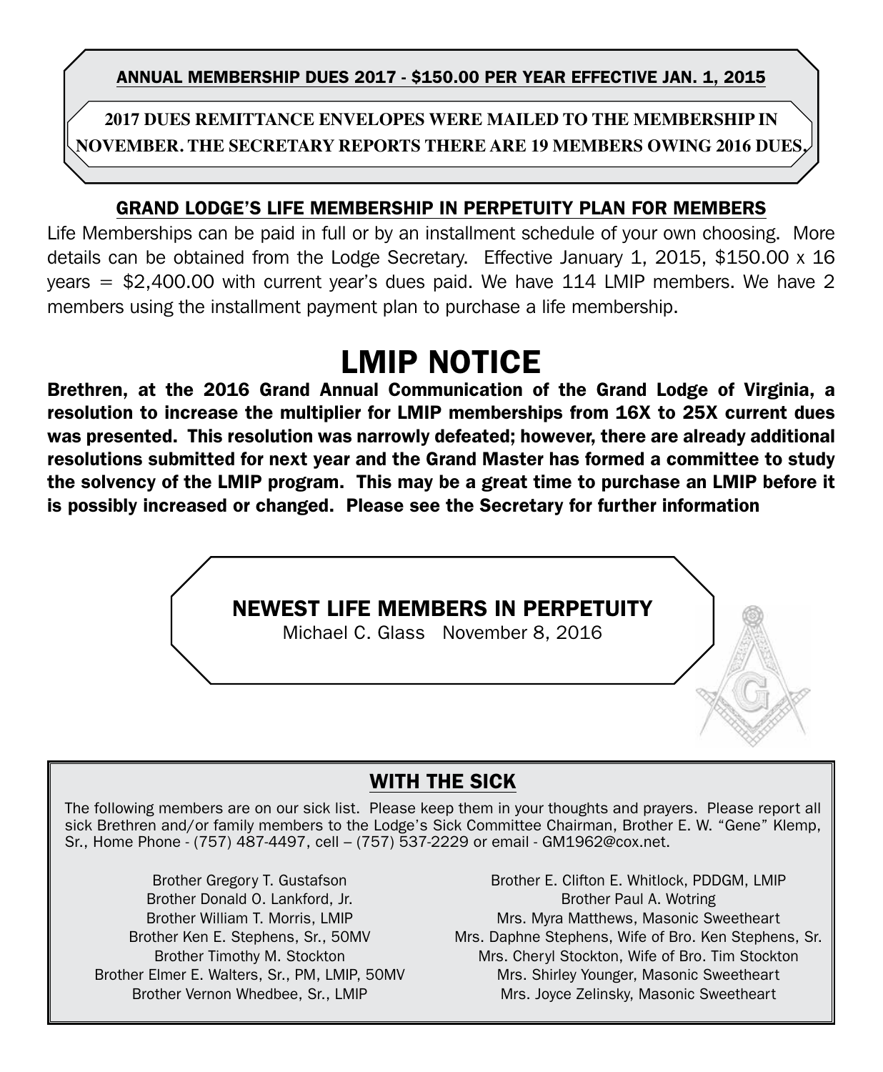ANNUAL MEMBERSHIP DUES 2017 - \$150.00 PER YEAR EFFECTIVE jan. 1, 2015

**2017 Dues Remittance Envelopes were mailed to the membership in November. The Secretary reports there are 19 members owing 2016 dues.**

#### GRAND LODGE'S LIFE MEMBERSHIP IN PERPETUITY PLAN FOR MEMBERS

Life Memberships can be paid in full or by an installment schedule of your own choosing. More details can be obtained from the Lodge Secretary. Effective January 1, 2015, \$150.00 x 16 years = \$2,400.00 with current year's dues paid. We have 114 LMIP members. We have 2 members using the installment payment plan to purchase a life membership.

# LMIP NOTICE

Brethren, at the 2016 Grand Annual Communication of the Grand Lodge of Virginia, a resolution to increase the multiplier for LMIP memberships from 16X to 25X current dues was presented. This resolution was narrowly defeated; however, there are already additional resolutions submitted for next year and the Grand Master has formed a committee to study the solvency of the LMIP program. This may be a great time to purchase an LMIP before it is possibly increased or changed. Please see the Secretary for further information



#### WITH THE SICK

The following members are on our sick list. Please keep them in your thoughts and prayers. Please report all sick Brethren and/or family members to the Lodge's Sick Committee Chairman, Brother E. W. "Gene" Klemp, Sr., Home Phone - (757) 487-4497, cell – (757) 537-2229 or email - GM1962@cox.net.

Brother Gregory T. Gustafson Brother Donald O. Lankford, Jr. Brother William T. Morris, LMIP Brother Ken E. Stephens, Sr., 50MV Brother Timothy M. Stockton Brother Elmer E. Walters, Sr., PM, LMIP, 50MV Brother Vernon Whedbee, Sr., LMIP

Brother E. Clifton E. Whitlock, PDDGM, LMIP Brother Paul A. Wotring Mrs. Myra Matthews, Masonic Sweetheart Mrs. Daphne Stephens, Wife of Bro. Ken Stephens, Sr. Mrs. Cheryl Stockton, Wife of Bro. Tim Stockton Mrs. Shirley Younger, Masonic Sweetheart Mrs. Joyce Zelinsky, Masonic Sweetheart